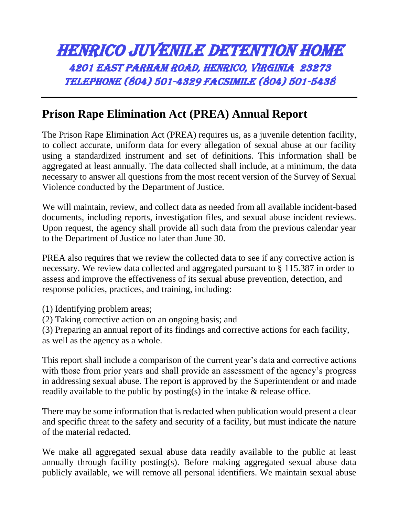## HENRICO JUVENILE DETENTION HOME 4201 East Parham Road, Henrico, Virginia 23273 Telephone (804) 501-4329 Facsimile (804) 501-5438

## **Prison Rape Elimination Act (PREA) Annual Report**

The Prison Rape Elimination Act (PREA) requires us, as a juvenile detention facility, to collect accurate, uniform data for every allegation of sexual abuse at our facility using a standardized instrument and set of definitions. This information shall be aggregated at least annually. The data collected shall include, at a minimum, the data necessary to answer all questions from the most recent version of the Survey of Sexual Violence conducted by the Department of Justice.

We will maintain, review, and collect data as needed from all available incident-based documents, including reports, investigation files, and sexual abuse incident reviews. Upon request, the agency shall provide all such data from the previous calendar year to the Department of Justice no later than June 30.

PREA also requires that we review the collected data to see if any corrective action is necessary. We review data collected and aggregated pursuant to § 115.387 in order to assess and improve the effectiveness of its sexual abuse prevention, detection, and response policies, practices, and training, including:

- (1) Identifying problem areas;
- (2) Taking corrective action on an ongoing basis; and

(3) Preparing an annual report of its findings and corrective actions for each facility, as well as the agency as a whole.

This report shall include a comparison of the current year's data and corrective actions with those from prior years and shall provide an assessment of the agency's progress in addressing sexual abuse. The report is approved by the Superintendent or and made readily available to the public by posting(s) in the intake & release office.

There may be some information that is redacted when publication would present a clear and specific threat to the safety and security of a facility, but must indicate the nature of the material redacted.

We make all aggregated sexual abuse data readily available to the public at least annually through facility posting(s). Before making aggregated sexual abuse data publicly available, we will remove all personal identifiers. We maintain sexual abuse